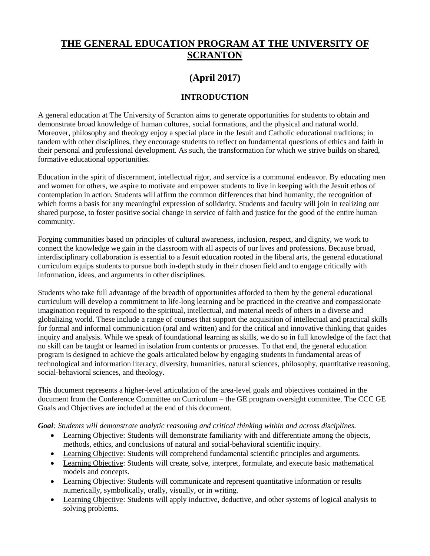# **THE GENERAL EDUCATION PROGRAM AT THE UNIVERSITY OF SCRANTON**

# **(April 2017)**

# **INTRODUCTION**

A general education at The University of Scranton aims to generate opportunities for students to obtain and demonstrate broad knowledge of human cultures, social formations, and the physical and natural world. Moreover, philosophy and theology enjoy a special place in the Jesuit and Catholic educational traditions; in tandem with other disciplines, they encourage students to reflect on fundamental questions of ethics and faith in their personal and professional development. As such, the transformation for which we strive builds on shared, formative educational opportunities.

Education in the spirit of discernment, intellectual rigor, and service is a communal endeavor. By educating men and women for others, we aspire to motivate and empower students to live in keeping with the Jesuit ethos of contemplation in action. Students will affirm the common differences that bind humanity, the recognition of which forms a basis for any meaningful expression of solidarity. Students and faculty will join in realizing our shared purpose, to foster positive social change in service of faith and justice for the good of the entire human community.

Forging communities based on principles of cultural awareness, inclusion, respect, and dignity, we work to connect the knowledge we gain in the classroom with all aspects of our lives and professions. Because broad, interdisciplinary collaboration is essential to a Jesuit education rooted in the liberal arts, the general educational curriculum equips students to pursue both in-depth study in their chosen field and to engage critically with information, ideas, and arguments in other disciplines.

Students who take full advantage of the breadth of opportunities afforded to them by the general educational curriculum will develop a commitment to life-long learning and be practiced in the creative and compassionate imagination required to respond to the spiritual, intellectual, and material needs of others in a diverse and globalizing world. These include a range of courses that support the acquisition of intellectual and practical skills for formal and informal communication (oral and written) and for the critical and innovative thinking that guides inquiry and analysis. While we speak of foundational learning as skills, we do so in full knowledge of the fact that no skill can be taught or learned in isolation from contents or processes. To that end, the general education program is designed to achieve the goals articulated below by engaging students in fundamental areas of technological and information literacy, diversity, humanities, natural sciences, philosophy, quantitative reasoning, social-behavioral sciences, and theology.

This document represents a higher-level articulation of the area-level goals and objectives contained in the document from the Conference Committee on Curriculum – the GE program oversight committee. The CCC GE Goals and Objectives are included at the end of this document.

*Goal: Students will demonstrate analytic reasoning and critical thinking within and across disciplines.*

- Learning Objective: Students will demonstrate familiarity with and differentiate among the objects, methods, ethics, and conclusions of natural and social-behavioral scientific inquiry.
- Learning Objective: Students will comprehend fundamental scientific principles and arguments.
- Learning Objective: Students will create, solve, interpret, formulate, and execute basic mathematical models and concepts.
- Learning Objective: Students will communicate and represent quantitative information or results numerically, symbolically, orally, visually, or in writing.
- Learning Objective: Students will apply inductive, deductive, and other systems of logical analysis to solving problems.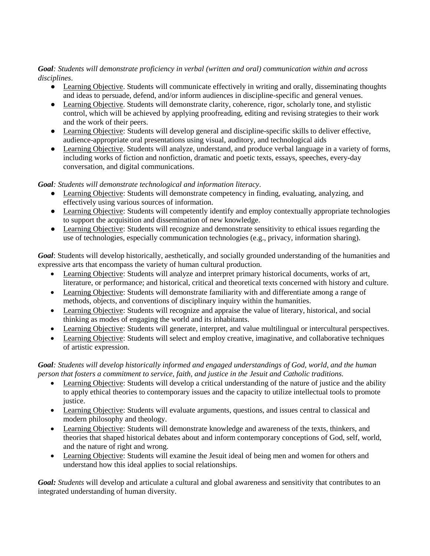# *Goal: Students will demonstrate proficiency in verbal (written and oral) communication within and across disciplines*.

- Learning Objective. Students will communicate effectively in writing and orally, disseminating thoughts and ideas to persuade, defend, and/or inform audiences in discipline-specific and general venues.
- Learning Objective. Students will demonstrate clarity, coherence, rigor, scholarly tone, and stylistic control, which will be achieved by applying proofreading, editing and revising strategies to their work and the work of their peers.
- Learning Objective: Students will develop general and discipline-specific skills to deliver effective, audience-appropriate oral presentations using visual, auditory, and technological aids
- Learning Objective. Students will analyze, understand, and produce verbal language in a variety of forms, including works of fiction and nonfiction, dramatic and poetic texts, essays, speeches, every-day conversation, and digital communications.

*Goal: Students will demonstrate technological and information literacy*.

- Learning Objective: Students will demonstrate competency in finding, evaluating, analyzing, and effectively using various sources of information.
- Learning Objective: Students will competently identify and employ contextually appropriate technologies to support the acquisition and dissemination of new knowledge.
- Learning Objective: Students will recognize and demonstrate sensitivity to ethical issues regarding the use of technologies, especially communication technologies (e.g., privacy, information sharing).

*Goal*: Students will develop historically, aesthetically, and socially grounded understanding of the humanities and expressive arts that encompass the variety of human cultural production.

- Learning Objective: Students will analyze and interpret primary historical documents, works of art, literature, or performance; and historical, critical and theoretical texts concerned with history and culture.
- Learning Objective: Students will demonstrate familiarity with and differentiate among a range of methods, objects, and conventions of disciplinary inquiry within the humanities.
- Learning Objective: Students will recognize and appraise the value of literary, historical, and social thinking as modes of engaging the world and its inhabitants.
- Learning Objective: Students will generate, interpret, and value multilingual or intercultural perspectives.
- Learning Objective: Students will select and employ creative, imaginative, and collaborative techniques of artistic expression.

*Goal: Students will develop historically informed and engaged understandings of God, world, and the human person that fosters a commitment to service, faith, and justice in the Jesuit and Catholic traditions.*

- Learning Objective: Students will develop a critical understanding of the nature of justice and the ability to apply ethical theories to contemporary issues and the capacity to utilize intellectual tools to promote justice.
- Learning Objective: Students will evaluate arguments, questions, and issues central to classical and modern philosophy and theology.
- Learning Objective: Students will demonstrate knowledge and awareness of the texts, thinkers, and theories that shaped historical debates about and inform contemporary conceptions of God, self, world, and the nature of right and wrong.
- Learning Objective: Students will examine the Jesuit ideal of being men and women for others and understand how this ideal applies to social relationships.

*Goal: Students* will develop and articulate a cultural and global awareness and sensitivity that contributes to an integrated understanding of human diversity.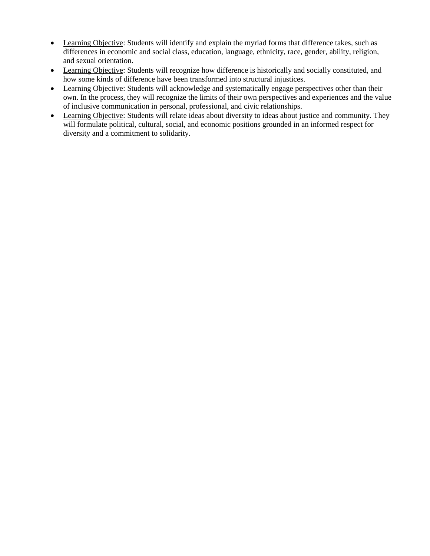- Learning Objective: Students will identify and explain the myriad forms that difference takes, such as differences in economic and social class, education, language, ethnicity, race, gender, ability, religion, and sexual orientation.
- Learning Objective: Students will recognize how difference is historically and socially constituted, and how some kinds of difference have been transformed into structural injustices.
- Learning Objective: Students will acknowledge and systematically engage perspectives other than their own. In the process, they will recognize the limits of their own perspectives and experiences and the value of inclusive communication in personal, professional, and civic relationships.
- Learning Objective: Students will relate ideas about diversity to ideas about justice and community. They will formulate political, cultural, social, and economic positions grounded in an informed respect for diversity and a commitment to solidarity.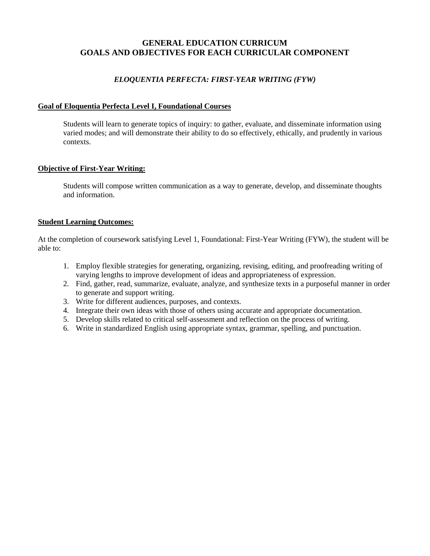# **GENERAL EDUCATION CURRICUM GOALS AND OBJECTIVES FOR EACH CURRICULAR COMPONENT**

# *ELOQUENTIA PERFECTA: FIRST-YEAR WRITING (FYW)*

# **Goal of Eloquentia Perfecta Level I, Foundational Courses**

Students will learn to generate topics of inquiry: to gather, evaluate, and disseminate information using varied modes; and will demonstrate their ability to do so effectively, ethically, and prudently in various contexts.

# **Objective of First-Year Writing:**

Students will compose written communication as a way to generate, develop, and disseminate thoughts and information.

# **Student Learning Outcomes:**

At the completion of coursework satisfying Level 1, Foundational: First-Year Writing (FYW), the student will be able to:

- 1. Employ flexible strategies for generating, organizing, revising, editing, and proofreading writing of varying lengths to improve development of ideas and appropriateness of expression.
- 2. Find, gather, read, summarize, evaluate, analyze, and synthesize texts in a purposeful manner in order to generate and support writing.
- 3. Write for different audiences, purposes, and contexts.
- 4. Integrate their own ideas with those of others using accurate and appropriate documentation.
- 5. Develop skills related to critical self-assessment and reflection on the process of writing.
- 6. Write in standardized English using appropriate syntax, grammar, spelling, and punctuation.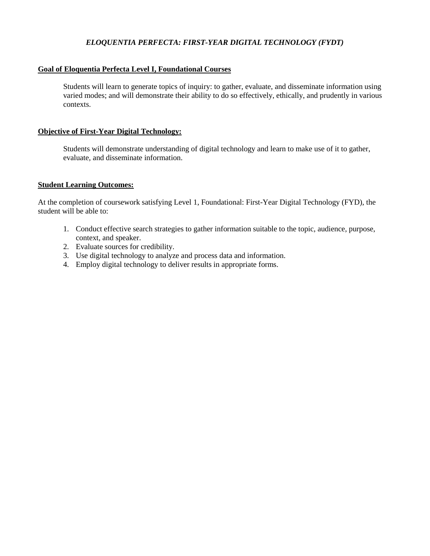# *ELOQUENTIA PERFECTA: FIRST-YEAR DIGITAL TECHNOLOGY (FYDT)*

# **Goal of Eloquentia Perfecta Level I, Foundational Courses**

Students will learn to generate topics of inquiry: to gather, evaluate, and disseminate information using varied modes; and will demonstrate their ability to do so effectively, ethically, and prudently in various contexts.

### **Objective of First-Year Digital Technology:**

Students will demonstrate understanding of digital technology and learn to make use of it to gather, evaluate, and disseminate information.

### **Student Learning Outcomes:**

At the completion of coursework satisfying Level 1, Foundational: First-Year Digital Technology (FYD), the student will be able to:

- 1. Conduct effective search strategies to gather information suitable to the topic, audience, purpose, context, and speaker.
- 2. Evaluate sources for credibility.
- 3. Use digital technology to analyze and process data and information.
- 4. Employ digital technology to deliver results in appropriate forms.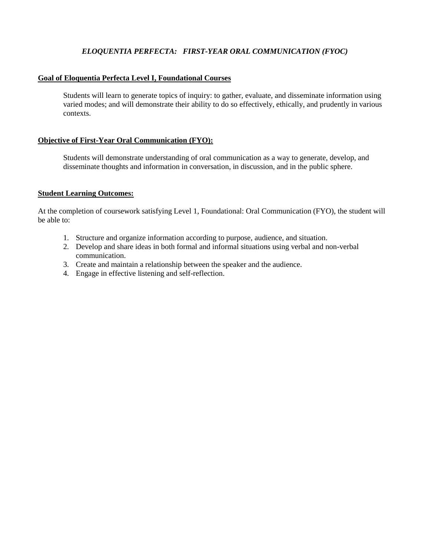# *ELOQUENTIA PERFECTA: FIRST-YEAR ORAL COMMUNICATION (FYOC)*

#### **Goal of Eloquentia Perfecta Level I, Foundational Courses**

Students will learn to generate topics of inquiry: to gather, evaluate, and disseminate information using varied modes; and will demonstrate their ability to do so effectively, ethically, and prudently in various contexts.

### **Objective of First-Year Oral Communication (FYO):**

Students will demonstrate understanding of oral communication as a way to generate, develop, and disseminate thoughts and information in conversation, in discussion, and in the public sphere.

### **Student Learning Outcomes:**

At the completion of coursework satisfying Level 1, Foundational: Oral Communication (FYO), the student will be able to:

- 1. Structure and organize information according to purpose, audience, and situation.
- 2. Develop and share ideas in both formal and informal situations using verbal and non-verbal communication.
- 3. Create and maintain a relationship between the speaker and the audience.
- 4. Engage in effective listening and self-reflection.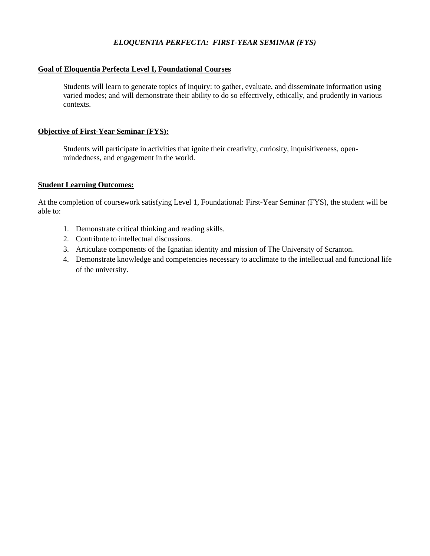# *ELOQUENTIA PERFECTA: FIRST-YEAR SEMINAR (FYS)*

# **Goal of Eloquentia Perfecta Level I, Foundational Courses**

Students will learn to generate topics of inquiry: to gather, evaluate, and disseminate information using varied modes; and will demonstrate their ability to do so effectively, ethically, and prudently in various contexts.

# **Objective of First-Year Seminar (FYS):**

Students will participate in activities that ignite their creativity, curiosity, inquisitiveness, openmindedness, and engagement in the world.

# **Student Learning Outcomes:**

At the completion of coursework satisfying Level 1, Foundational: First-Year Seminar (FYS), the student will be able to:

- 1. Demonstrate critical thinking and reading skills.
- 2. Contribute to intellectual discussions.
- 3. Articulate components of the Ignatian identity and mission of The University of Scranton.
- 4. Demonstrate knowledge and competencies necessary to acclimate to the intellectual and functional life of the university.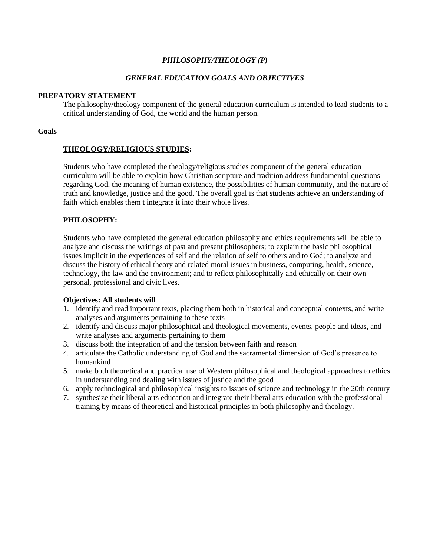# *PHILOSOPHY/THEOLOGY (P)*

### *GENERAL EDUCATION GOALS AND OBJECTIVES*

#### **PREFATORY STATEMENT**

The philosophy/theology component of the general education curriculum is intended to lead students to a critical understanding of God, the world and the human person.

# **Goals**

# **THEOLOGY/RELIGIOUS STUDIES:**

Students who have completed the theology/religious studies component of the general education curriculum will be able to explain how Christian scripture and tradition address fundamental questions regarding God, the meaning of human existence, the possibilities of human community, and the nature of truth and knowledge, justice and the good. The overall goal is that students achieve an understanding of faith which enables them t integrate it into their whole lives.

# **PHILOSOPHY:**

Students who have completed the general education philosophy and ethics requirements will be able to analyze and discuss the writings of past and present philosophers; to explain the basic philosophical issues implicit in the experiences of self and the relation of self to others and to God; to analyze and discuss the history of ethical theory and related moral issues in business, computing, health, science, technology, the law and the environment; and to reflect philosophically and ethically on their own personal, professional and civic lives.

- 1. identify and read important texts, placing them both in historical and conceptual contexts, and write analyses and arguments pertaining to these texts
- 2. identify and discuss major philosophical and theological movements, events, people and ideas, and write analyses and arguments pertaining to them
- 3. discuss both the integration of and the tension between faith and reason
- 4. articulate the Catholic understanding of God and the sacramental dimension of God's presence to humankind
- 5. make both theoretical and practical use of Western philosophical and theological approaches to ethics in understanding and dealing with issues of justice and the good
- 6. apply technological and philosophical insights to issues of science and technology in the 20th century
- 7. synthesize their liberal arts education and integrate their liberal arts education with the professional training by means of theoretical and historical principles in both philosophy and theology.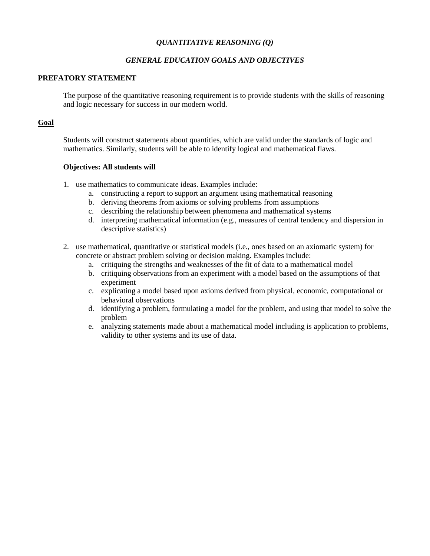# *QUANTITATIVE REASONING (Q)*

# *GENERAL EDUCATION GOALS AND OBJECTIVES*

### **PREFATORY STATEMENT**

The purpose of the quantitative reasoning requirement is to provide students with the skills of reasoning and logic necessary for success in our modern world.

### **Goal**

Students will construct statements about quantities, which are valid under the standards of logic and mathematics. Similarly, students will be able to identify logical and mathematical flaws.

- 1. use mathematics to communicate ideas. Examples include:
	- a. constructing a report to support an argument using mathematical reasoning
	- b. deriving theorems from axioms or solving problems from assumptions
	- c. describing the relationship between phenomena and mathematical systems
	- d. interpreting mathematical information (e.g., measures of central tendency and dispersion in descriptive statistics)
- 2. use mathematical, quantitative or statistical models (i.e., ones based on an axiomatic system) for concrete or abstract problem solving or decision making. Examples include:
	- a. critiquing the strengths and weaknesses of the fit of data to a mathematical model
	- b. critiquing observations from an experiment with a model based on the assumptions of that experiment
	- c. explicating a model based upon axioms derived from physical, economic, computational or behavioral observations
	- d. identifying a problem, formulating a model for the problem, and using that model to solve the problem
	- e. analyzing statements made about a mathematical model including is application to problems, validity to other systems and its use of data.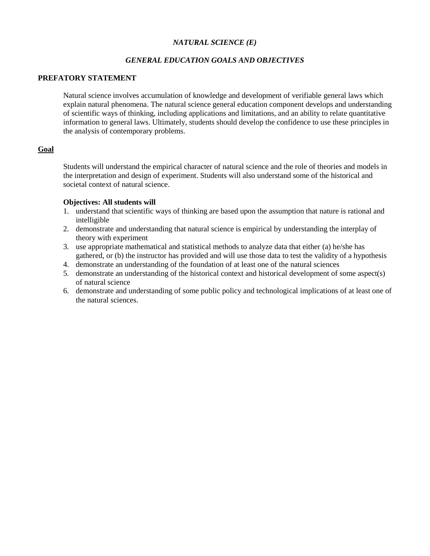# *NATURAL SCIENCE (E)*

# *GENERAL EDUCATION GOALS AND OBJECTIVES*

## **PREFATORY STATEMENT**

Natural science involves accumulation of knowledge and development of verifiable general laws which explain natural phenomena. The natural science general education component develops and understanding of scientific ways of thinking, including applications and limitations, and an ability to relate quantitative information to general laws. Ultimately, students should develop the confidence to use these principles in the analysis of contemporary problems.

# **Goal**

Students will understand the empirical character of natural science and the role of theories and models in the interpretation and design of experiment. Students will also understand some of the historical and societal context of natural science.

- 1. understand that scientific ways of thinking are based upon the assumption that nature is rational and intelligible
- 2. demonstrate and understanding that natural science is empirical by understanding the interplay of theory with experiment
- 3. use appropriate mathematical and statistical methods to analyze data that either (a) he/she has gathered, or (b) the instructor has provided and will use those data to test the validity of a hypothesis
- 4. demonstrate an understanding of the foundation of at least one of the natural sciences
- 5. demonstrate an understanding of the historical context and historical development of some aspect(s) of natural science
- 6. demonstrate and understanding of some public policy and technological implications of at least one of the natural sciences.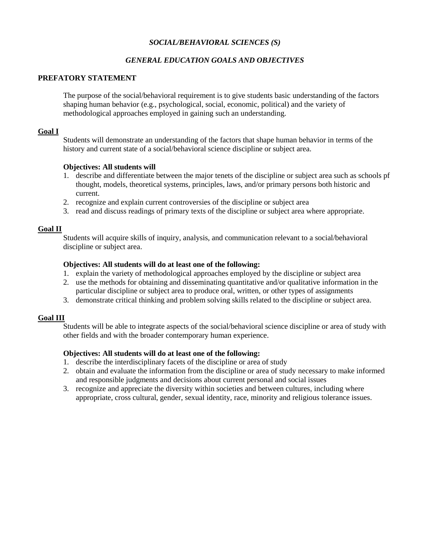# *SOCIAL/BEHAVIORAL SCIENCES (S)*

# *GENERAL EDUCATION GOALS AND OBJECTIVES*

# **PREFATORY STATEMENT**

The purpose of the social/behavioral requirement is to give students basic understanding of the factors shaping human behavior (e.g., psychological, social, economic, political) and the variety of methodological approaches employed in gaining such an understanding.

# **Goal I**

Students will demonstrate an understanding of the factors that shape human behavior in terms of the history and current state of a social/behavioral science discipline or subject area.

# **Objectives: All students will**

- 1. describe and differentiate between the major tenets of the discipline or subject area such as schools pf thought, models, theoretical systems, principles, laws, and/or primary persons both historic and current.
- 2. recognize and explain current controversies of the discipline or subject area
- 3. read and discuss readings of primary texts of the discipline or subject area where appropriate.

# **Goal II**

Students will acquire skills of inquiry, analysis, and communication relevant to a social/behavioral discipline or subject area.

# **Objectives: All students will do at least one of the following:**

- 1. explain the variety of methodological approaches employed by the discipline or subject area
- 2. use the methods for obtaining and disseminating quantitative and/or qualitative information in the particular discipline or subject area to produce oral, written, or other types of assignments
- 3. demonstrate critical thinking and problem solving skills related to the discipline or subject area.

# **Goal III**

Students will be able to integrate aspects of the social/behavioral science discipline or area of study with other fields and with the broader contemporary human experience.

# **Objectives: All students will do at least one of the following:**

- 1. describe the interdisciplinary facets of the discipline or area of study
- 2. obtain and evaluate the information from the discipline or area of study necessary to make informed and responsible judgments and decisions about current personal and social issues
- 3. recognize and appreciate the diversity within societies and between cultures, including where appropriate, cross cultural, gender, sexual identity, race, minority and religious tolerance issues.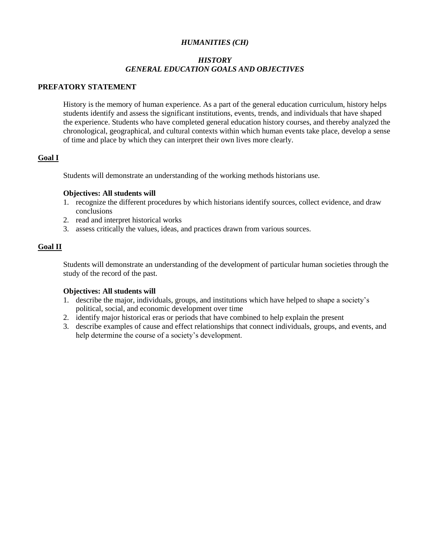# *HUMANITIES (CH)*

# *HISTORY GENERAL EDUCATION GOALS AND OBJECTIVES*

#### **PREFATORY STATEMENT**

History is the memory of human experience. As a part of the general education curriculum, history helps students identify and assess the significant institutions, events, trends, and individuals that have shaped the experience. Students who have completed general education history courses, and thereby analyzed the chronological, geographical, and cultural contexts within which human events take place, develop a sense of time and place by which they can interpret their own lives more clearly.

# **Goal I**

Students will demonstrate an understanding of the working methods historians use.

#### **Objectives: All students will**

- 1. recognize the different procedures by which historians identify sources, collect evidence, and draw conclusions
- 2. read and interpret historical works
- 3. assess critically the values, ideas, and practices drawn from various sources.

### **Goal II**

Students will demonstrate an understanding of the development of particular human societies through the study of the record of the past.

- 1. describe the major, individuals, groups, and institutions which have helped to shape a society's political, social, and economic development over time
- 2. identify major historical eras or periods that have combined to help explain the present
- 3. describe examples of cause and effect relationships that connect individuals, groups, and events, and help determine the course of a society's development.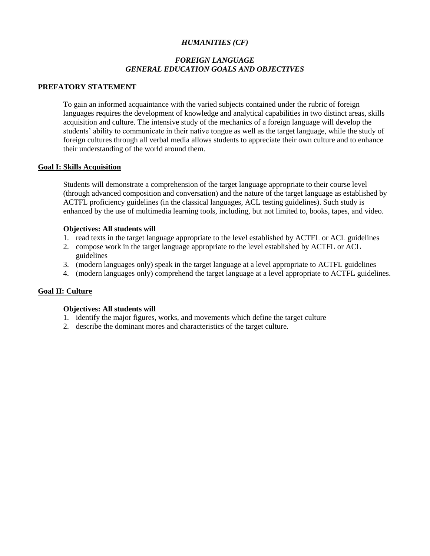# *HUMANITIES (CF)*

# *FOREIGN LANGUAGE GENERAL EDUCATION GOALS AND OBJECTIVES*

### **PREFATORY STATEMENT**

To gain an informed acquaintance with the varied subjects contained under the rubric of foreign languages requires the development of knowledge and analytical capabilities in two distinct areas, skills acquisition and culture. The intensive study of the mechanics of a foreign language will develop the students' ability to communicate in their native tongue as well as the target language, while the study of foreign cultures through all verbal media allows students to appreciate their own culture and to enhance their understanding of the world around them.

#### **Goal I: Skills Acquisition**

Students will demonstrate a comprehension of the target language appropriate to their course level (through advanced composition and conversation) and the nature of the target language as established by ACTFL proficiency guidelines (in the classical languages, ACL testing guidelines). Such study is enhanced by the use of multimedia learning tools, including, but not limited to, books, tapes, and video.

#### **Objectives: All students will**

- 1. read texts in the target language appropriate to the level established by ACTFL or ACL guidelines
- 2. compose work in the target language appropriate to the level established by ACTFL or ACL guidelines
- 3. (modern languages only) speak in the target language at a level appropriate to ACTFL guidelines
- 4. (modern languages only) comprehend the target language at a level appropriate to ACTFL guidelines.

#### **Goal II: Culture**

- 1. identify the major figures, works, and movements which define the target culture
- 2. describe the dominant mores and characteristics of the target culture.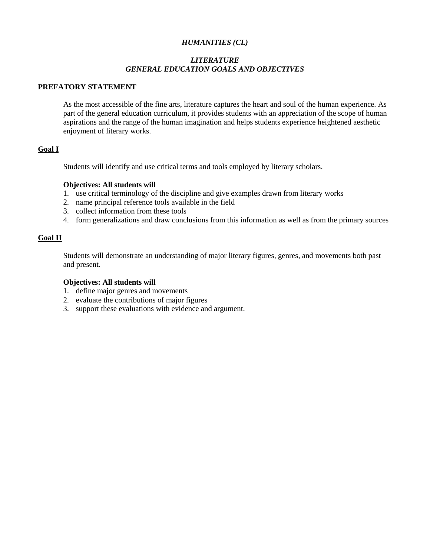# *HUMANITIES (CL)*

# *LITERATURE GENERAL EDUCATION GOALS AND OBJECTIVES*

### **PREFATORY STATEMENT**

As the most accessible of the fine arts, literature captures the heart and soul of the human experience. As part of the general education curriculum, it provides students with an appreciation of the scope of human aspirations and the range of the human imagination and helps students experience heightened aesthetic enjoyment of literary works.

# **Goal I**

Students will identify and use critical terms and tools employed by literary scholars.

#### **Objectives: All students will**

- 1. use critical terminology of the discipline and give examples drawn from literary works
- 2. name principal reference tools available in the field
- 3. collect information from these tools
- 4. form generalizations and draw conclusions from this information as well as from the primary sources

## **Goal II**

Students will demonstrate an understanding of major literary figures, genres, and movements both past and present.

- 1. define major genres and movements
- 2. evaluate the contributions of major figures
- 3. support these evaluations with evidence and argument.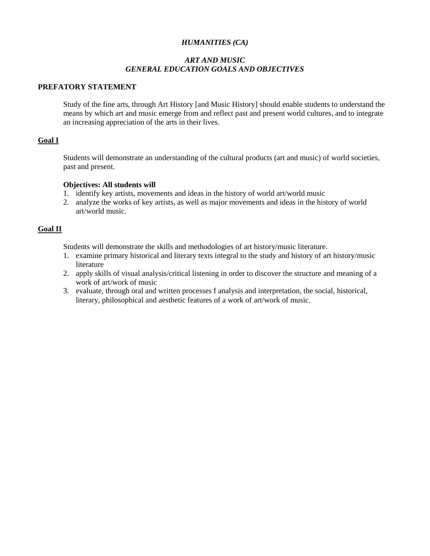# *HUMANITIES (CA)*

# *ART AND MUSIC GENERAL EDUCATION GOALS AND OBJECTIVES*

### **PREFATORY STATEMENT**

Study of the fine arts, through Art History [and Music History] should enable students to understand the means by which art and music emerge from and reflect past and present world cultures, and to integrate an increasing appreciation of the arts in their lives.

# **Goal I**

Students will demonstrate an understanding of the cultural products (art and music) of world societies, past and present.

#### **Objectives: All students will**

- 1. identify key artists, movements and ideas in the history of world art/world music
- 2. analyze the works of key artists, as well as major movements and ideas in the history of world art/world music.

### **Goal II**

Students will demonstrate the skills and methodologies of art history/music literature.

- 1. examine primary historical and literary texts integral to the study and history of art history/music literature
- 2. apply skills of visual analysis/critical listening in order to discover the structure and meaning of a work of art/work of music
- 3. evaluate, through oral and written processes f analysis and interpretation, the social, historical, literary, philosophical and aesthetic features of a work of art/work of music.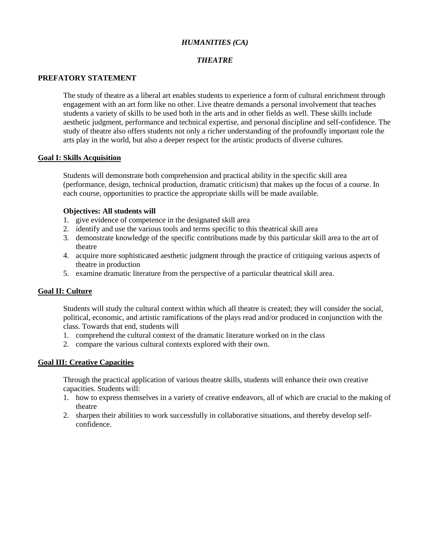# *HUMANITIES (CA)*

# *THEATRE*

## **PREFATORY STATEMENT**

The study of theatre as a liberal art enables students to experience a form of cultural enrichment through engagement with an art form like no other. Live theatre demands a personal involvement that teaches students a variety of skills to be used both in the arts and in other fields as well. These skills include aesthetic judgment, performance and technical expertise, and personal discipline and self-confidence. The study of theatre also offers students not only a richer understanding of the profoundly important role the arts play in the world, but also a deeper respect for the artistic products of diverse cultures.

### **Goal I: Skills Acquisition**

Students will demonstrate both comprehension and practical ability in the specific skill area (performance, design, technical production, dramatic criticism) that makes up the focus of a course. In each course, opportunities to practice the appropriate skills will be made available.

### **Objectives: All students will**

- 1. give evidence of competence in the designated skill area
- 2. identify and use the various tools and terms specific to this theatrical skill area
- 3. demonstrate knowledge of the specific contributions made by this particular skill area to the art of theatre
- 4. acquire more sophisticated aesthetic judgment through the practice of critiquing various aspects of theatre in production
- 5. examine dramatic literature from the perspective of a particular theatrical skill area.

#### **Goal II: Culture**

Students will study the cultural context within which all theatre is created; they will consider the social, political, economic, and artistic ramifications of the plays read and/or produced in conjunction with the class. Towards that end, students will

- 1. comprehend the cultural context of the dramatic literature worked on in the class
- 2. compare the various cultural contexts explored with their own.

# **Goal III: Creative Capacities**

Through the practical application of various theatre skills, students will enhance their own creative capacities. Students will:

- 1. how to express themselves in a variety of creative endeavors, all of which are crucial to the making of theatre
- 2. sharpen their abilities to work successfully in collaborative situations, and thereby develop selfconfidence.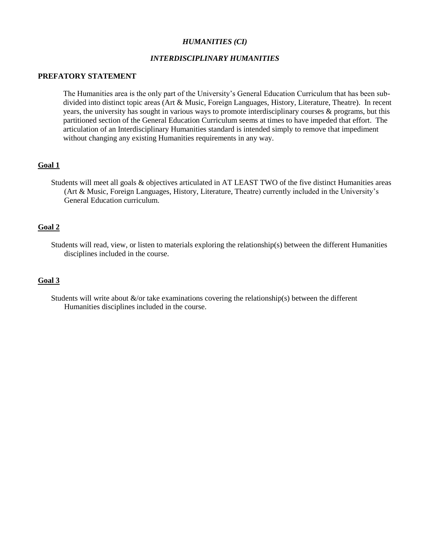#### *HUMANITIES (CI)*

### *INTERDISCIPLINARY HUMANITIES*

#### **PREFATORY STATEMENT**

The Humanities area is the only part of the University's General Education Curriculum that has been subdivided into distinct topic areas (Art & Music, Foreign Languages, History, Literature, Theatre). In recent years, the university has sought in various ways to promote interdisciplinary courses & programs, but this partitioned section of the General Education Curriculum seems at times to have impeded that effort. The articulation of an Interdisciplinary Humanities standard is intended simply to remove that impediment without changing any existing Humanities requirements in any way.

#### **Goal 1**

Students will meet all goals & objectives articulated in AT LEAST TWO of the five distinct Humanities areas (Art & Music, Foreign Languages, History, Literature, Theatre) currently included in the University's General Education curriculum.

#### **Goal 2**

Students will read, view, or listen to materials exploring the relationship(s) between the different Humanities disciplines included in the course.

#### **Goal 3**

Students will write about  $\&/$  or take examinations covering the relationship(s) between the different Humanities disciplines included in the course.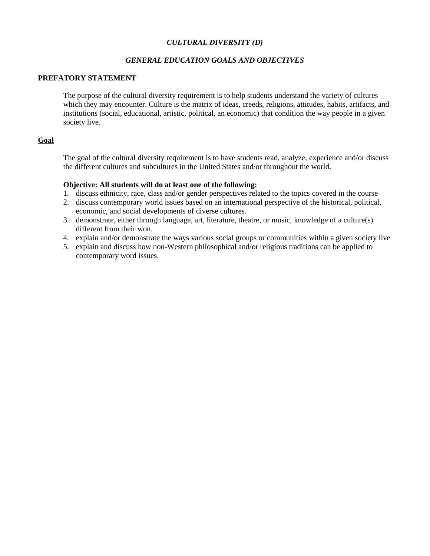# *CULTURAL DIVERSITY (D)*

# *GENERAL EDUCATION GOALS AND OBJECTIVES*

### **PREFATORY STATEMENT**

The purpose of the cultural diversity requirement is to help students understand the variety of cultures which they may encounter. Culture is the matrix of ideas, creeds, religions, attitudes, habits, artifacts, and institutions (social, educational, artistic, political, an economic) that condition the way people in a given society live.

# **Goal**

The goal of the cultural diversity requirement is to have students read, analyze, experience and/or discuss the different cultures and subcultures in the United States and/or throughout the world.

### **Objective: All students will do at least one of the following:**

- 1. discuss ethnicity, race, class and/or gender perspectives related to the topics covered in the course
- 2. discuss contemporary world issues based on an international perspective of the historical, political, economic, and social developments of diverse cultures.
- 3. demonstrate, either through language, art, literature, theatre, or music, knowledge of a culture(s) different from their won.
- 4. explain and/or demonstrate the ways various social groups or communities within a given society live
- 5. explain and discuss how non-Western philosophical and/or religious traditions can be applied to contemporary word issues.